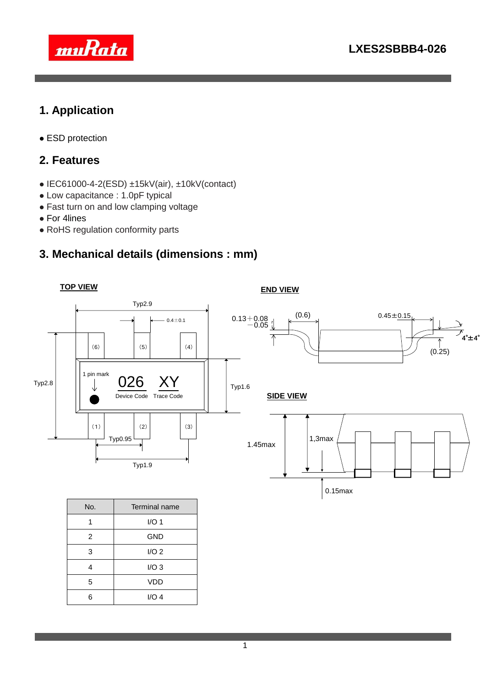

# **1. Application**

ESD protection

#### **2. Features**

- $\bullet$  IEC61000-4-2(ESD)  $\pm$ 15kV(air),  $\pm$ 10kV(contact)
- Low capacitance : 1.0pF typical
- Fast turn on and low clamping voltage
- For 4lines
- RoHS regulation conformity parts

### **3. Mechanical details (dimensions : mm)**

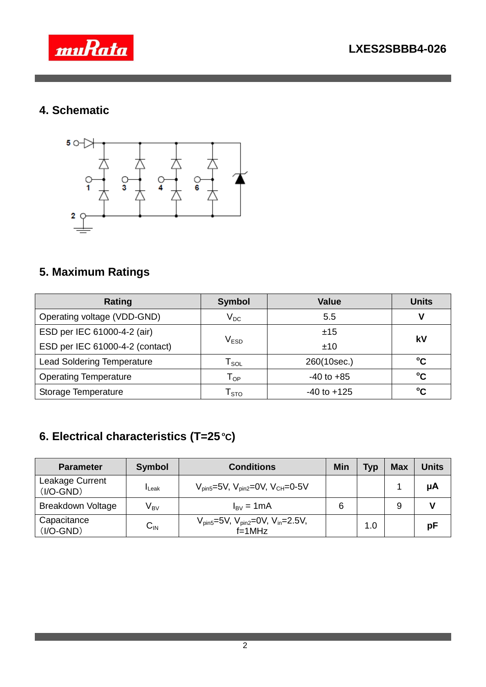



## **4. Schematic**



## **5. Maximum Ratings**

| Rating                            | <b>Symbol</b>                                | <b>Value</b>    | <b>Units</b> |  |
|-----------------------------------|----------------------------------------------|-----------------|--------------|--|
| Operating voltage (VDD-GND)       | $\mathsf{V}_{\mathsf{DC}}$                   | 5.5             |              |  |
| ESD per IEC 61000-4-2 (air)       |                                              | ±15             | kV           |  |
| ESD per IEC 61000-4-2 (contact)   | $\mathsf{V}_{\mathsf{ESD}}$                  | ±10             |              |  |
| <b>Lead Soldering Temperature</b> | $\mathsf{T}_{\mathsf{SOL}}$                  | 260(10sec.)     | $\rm ^{o}C$  |  |
| <b>Operating Temperature</b>      | $-40$ to $+85$<br>$\mathsf{T}_{\mathsf{OP}}$ |                 | °C           |  |
| Storage Temperature               | ${\mathsf T}_{\text{STO}}$                   | $-40$ to $+125$ | $^{\circ}$ C |  |

# **6. Electrical characteristics (T=25 <sup>o</sup>C)**

| <b>Parameter</b>               | <b>Symbol</b>            | <b>Conditions</b>                                                        | Min | <b>Typ</b> | <b>Max</b> | <b>Units</b> |
|--------------------------------|--------------------------|--------------------------------------------------------------------------|-----|------------|------------|--------------|
| Leakage Current<br>$(I/O-GND)$ | $I_{\text{Leak}}$        | $V_{\text{pin5}} = 5V$ , $V_{\text{pin2}} = 0V$ , $V_{\text{CH}} = 0.5V$ |     |            |            | μA           |
| <b>Breakdown Voltage</b>       | $\mathsf{V}_\mathsf{BV}$ | $I_{\rm BV} = 1 \text{mA}$                                               | 6   |            | 9          |              |
| Capacitance<br>$(I/O-GND)$     | $C_{\text{IN}}$          | $V_{pin5} = 5V$ , $V_{pin2} = 0V$ , $V_{in} = 2.5V$ ,<br>$f=1$ MHz       |     | 1.0        |            | рF           |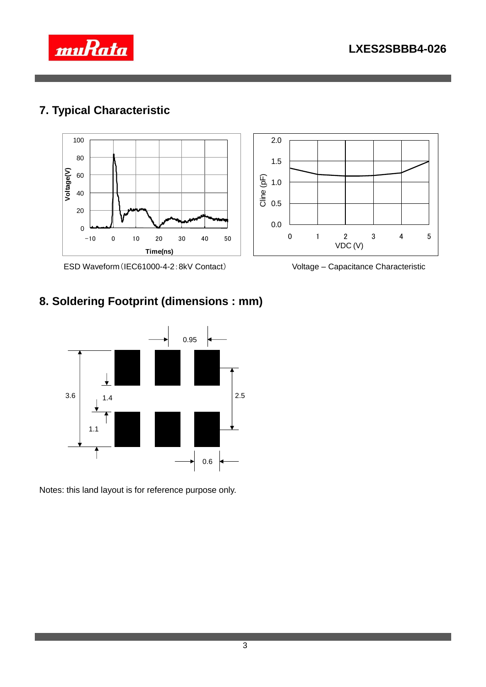

## **7. Typical Characteristic**



ESD Waveform(IEC61000-4-2:8kV Contact) Voltage – Capacitance Characteristic

## **8. Soldering Footprint (dimensions : mm)**



Notes: this land layout is for reference purpose only.